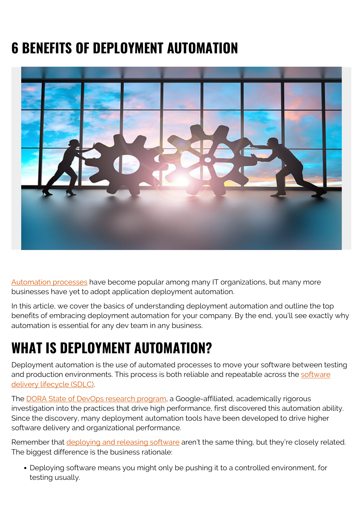# **6 BENEFITS OF DEPLOYMENT AUTOMATION**



[Automation processes](https://blogs.bmc.com/blogs/it-automation/) have become popular among many IT organizations, but many more businesses have yet to adopt application deployment automation.

In this article, we cover the basics of understanding deployment automation and outline the top benefits of embracing deployment automation for your company. By the end, you'll see exactly why automation is essential for any dev team in any business.

## **WHAT IS DEPLOYMENT AUTOMATION?**

Deployment automation is the use of automated processes to move your software between testing and production environments. This process is both reliable and repeatable across the [software](https://blogs.bmc.com/blogs/sdlc-software-development-lifecycle/) [delivery lifecycle \(SDLC\).](https://blogs.bmc.com/blogs/sdlc-software-development-lifecycle/)

The [DORA State of DevOps research program,](https://www.devops-research.com/research.html) a Google-affiliated, academically rigorous investigation into the practices that drive high performance, first discovered this automation ability. Since the discovery, many deployment automation tools have been developed to drive higher software delivery and organizational performance.

Remember that *deploying and releasing software* aren't the same thing, but they're closely related. The biggest difference is the business rationale:

Deploying software means you might only be pushing it to a controlled environment, for testing usually.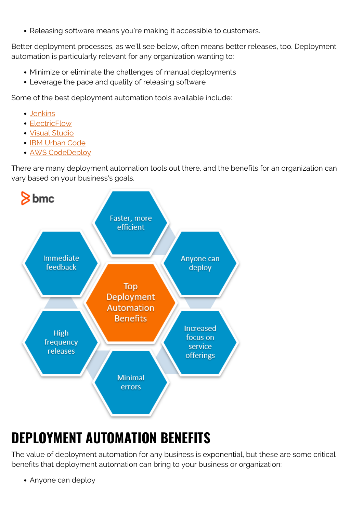Releasing software means you're making it accessible to customers.

Better deployment processes, as we'll see below, often means better releases, too. Deployment automation is particularly relevant for any organization wanting to:

- Minimize or eliminate the challenges of manual deployments
- Leverage the pace and quality of releasing software

Some of the best deployment automation tools available include:

- [Jenkins](https://www.jenkins.io/)
- [ElectricFlow](https://digital.ai/technology/electricflow)
- [Visual Studio](https://visualstudio.microsoft.com/)
- [IBM Urban Code](https://www.ibm.com/cloud/urbancode)
- [AWS CodeDeploy](https://aws.amazon.com/codedeploy/)

There are many deployment automation tools out there, and the benefits for an organization can vary based on your business's goals.



# **DEPLOYMENT AUTOMATION BENEFITS**

The value of deployment automation for any business is exponential, but these are some critical benefits that deployment automation can bring to your business or organization:

• Anyone can deploy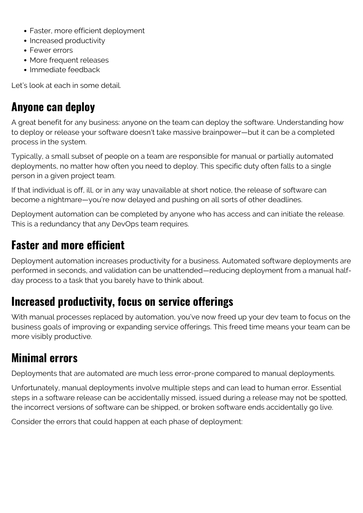- Faster, more efficient deployment
- Increased productivity
- Fewer errors
- More frequent releases
- Immediate feedback

Let's look at each in some detail.

#### **Anyone can deploy**

A great benefit for any business: anyone on the team can deploy the software. Understanding how to deploy or release your software doesn't take massive brainpower—but it can be a completed process in the system.

Typically, a small subset of people on a team are responsible for manual or partially automated deployments, no matter how often you need to deploy. This specific duty often falls to a single person in a given project team.

If that individual is off, ill, or in any way unavailable at short notice, the release of software can become a nightmare—you're now delayed and pushing on all sorts of other deadlines.

Deployment automation can be completed by anyone who has access and can initiate the release. This is a redundancy that any DevOps team requires.

#### **Faster and more efficient**

Deployment automation increases productivity for a business. Automated software deployments are performed in seconds, and validation can be unattended—reducing deployment from a manual halfday process to a task that you barely have to think about.

#### **Increased productivity, focus on service offerings**

With manual processes replaced by automation, you've now freed up your dev team to focus on the business goals of improving or expanding service offerings. This freed time means your team can be more visibly productive.

#### **Minimal errors**

Deployments that are automated are much less error-prone compared to manual deployments.

Unfortunately, manual deployments involve multiple steps and can lead to human error. Essential steps in a software release can be accidentally missed, issued during a release may not be spotted, the incorrect versions of software can be shipped, or broken software ends accidentally go live.

Consider the errors that could happen at each phase of deployment: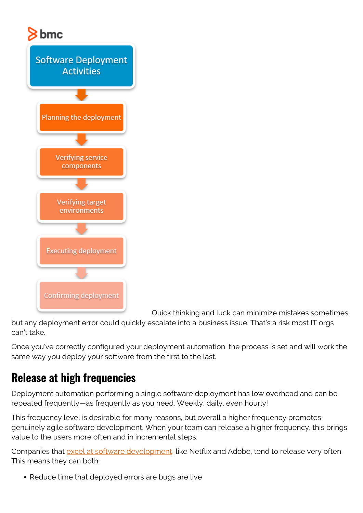

Quick thinking and luck can minimize mistakes sometimes,

but any deployment error could quickly escalate into a business issue. That's a risk most IT orgs can't take.

Once you've correctly configured your deployment automation, the process is set and will work the same way you deploy your software from the first to the last.

#### **Release at high frequencies**

Deployment automation performing a single software deployment has low overhead and can be repeated frequently—as frequently as you need. Weekly, daily, even hourly!

This frequency level is desirable for many reasons, but overall a higher frequency promotes genuinely agile software development. When your team can release a higher frequency, this brings value to the users more often and in incremental steps.

Companies that [excel at software development](https://techbeacon.com/devops/10-companies-killing-it-devops), like Netflix and Adobe, tend to release very often. This means they can both:

• Reduce time that deployed errors are bugs are live